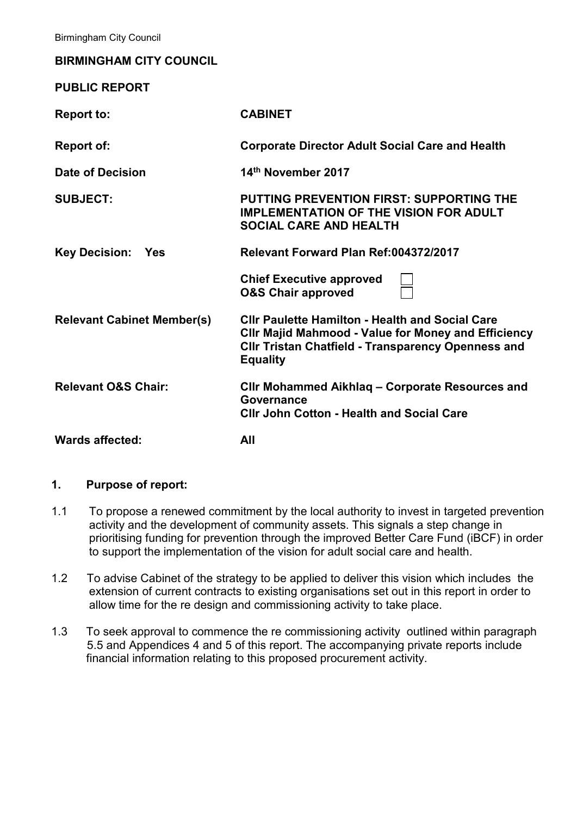Birmingham City Council

#### **BIRMINGHAM CITY COUNCIL**

| <b>PUBLIC REPORT</b>              |                                                                                                                                                                                                      |
|-----------------------------------|------------------------------------------------------------------------------------------------------------------------------------------------------------------------------------------------------|
| <b>Report to:</b>                 | <b>CABINET</b>                                                                                                                                                                                       |
| <b>Report of:</b>                 | <b>Corporate Director Adult Social Care and Health</b>                                                                                                                                               |
| Date of Decision                  | 14th November 2017                                                                                                                                                                                   |
| <b>SUBJECT:</b>                   | <b>PUTTING PREVENTION FIRST: SUPPORTING THE</b><br><b>IMPLEMENTATION OF THE VISION FOR ADULT</b><br><b>SOCIAL CARE AND HEALTH</b>                                                                    |
| <b>Key Decision:</b><br>Yes       | Relevant Forward Plan Ref:004372/2017                                                                                                                                                                |
|                                   | <b>Chief Executive approved</b><br><b>O&amp;S Chair approved</b>                                                                                                                                     |
| <b>Relevant Cabinet Member(s)</b> | <b>CIIr Paulette Hamilton - Health and Social Care</b><br><b>CIIr Majid Mahmood - Value for Money and Efficiency</b><br><b>CIIr Tristan Chatfield - Transparency Openness and</b><br><b>Equality</b> |
| <b>Relevant O&amp;S Chair:</b>    | CIIr Mohammed Aikhlag - Corporate Resources and<br>Governance<br><b>CIIr John Cotton - Health and Social Care</b>                                                                                    |
| <b>Wards affected:</b>            | All                                                                                                                                                                                                  |

#### **1. Purpose of report:**

- 1.1 To propose a renewed commitment by the local authority to invest in targeted prevention activity and the development of community assets. This signals a step change in prioritising funding for prevention through the improved Better Care Fund (iBCF) in order to support the implementation of the vision for adult social care and health.
- 1.2 To advise Cabinet of the strategy to be applied to deliver this vision which includes the extension of current contracts to existing organisations set out in this report in order to allow time for the re design and commissioning activity to take place.
- 1.3 To seek approval to commence the re commissioning activity outlined within paragraph 5.5 and Appendices 4 and 5 of this report. The accompanying private reports include financial information relating to this proposed procurement activity.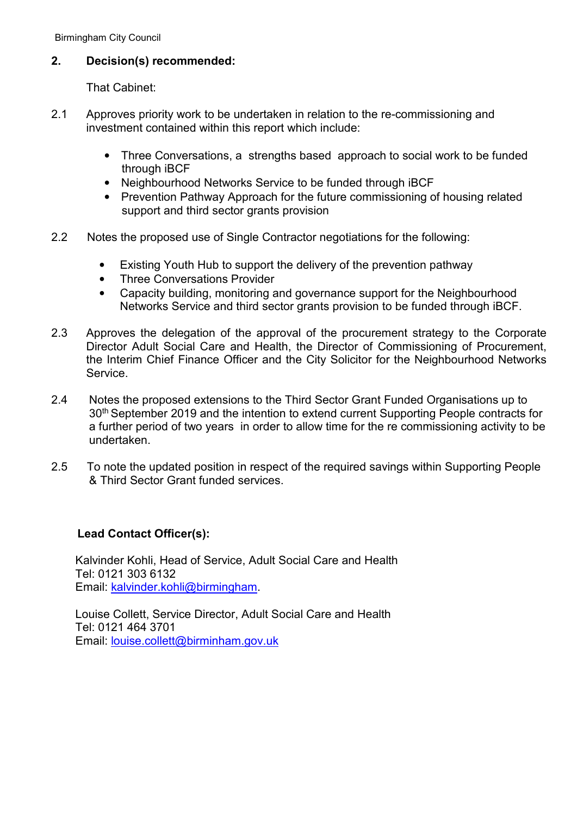Birmingham City Council

#### **2. Decision(s) recommended:**

That Cabinet:

- 2.1 Approves priority work to be undertaken in relation to the re-commissioning and investment contained within this report which include:
	- Three Conversations, a strengths based approach to social work to be funded through iBCF
	- Neighbourhood Networks Service to be funded through iBCF
	- Prevention Pathway Approach for the future commissioning of housing related support and third sector grants provision
- 2.2 Notes the proposed use of Single Contractor negotiations for the following:
	- Existing Youth Hub to support the delivery of the prevention pathway
	- Three Conversations Provider
	- Capacity building, monitoring and governance support for the Neighbourhood Networks Service and third sector grants provision to be funded through iBCF.
- 2.3 Approves the delegation of the approval of the procurement strategy to the Corporate Director Adult Social Care and Health, the Director of Commissioning of Procurement, the Interim Chief Finance Officer and the City Solicitor for the Neighbourhood Networks Service.
- 2.4 Notes the proposed extensions to the Third Sector Grant Funded Organisations up to 30<sup>th</sup> September 2019 and the intention to extend current Supporting People contracts for a further period of two years in order to allow time for the re commissioning activity to be undertaken.
- 2.5 To note the updated position in respect of the required savings within Supporting People & Third Sector Grant funded services.

## **Lead Contact Officer(s):**

 Kalvinder Kohli, Head of Service, Adult Social Care and Health Tel: 0121 303 6132 Email: [kalvinder.kohli@birmingham.](mailto:kalvinder.kohli@birmingham)

 Louise Collett, Service Director, Adult Social Care and Health Tel: 0121 464 3701 Email: [louise.collett@birminham.gov.uk](mailto:louise.collett@birminham.gov.uk)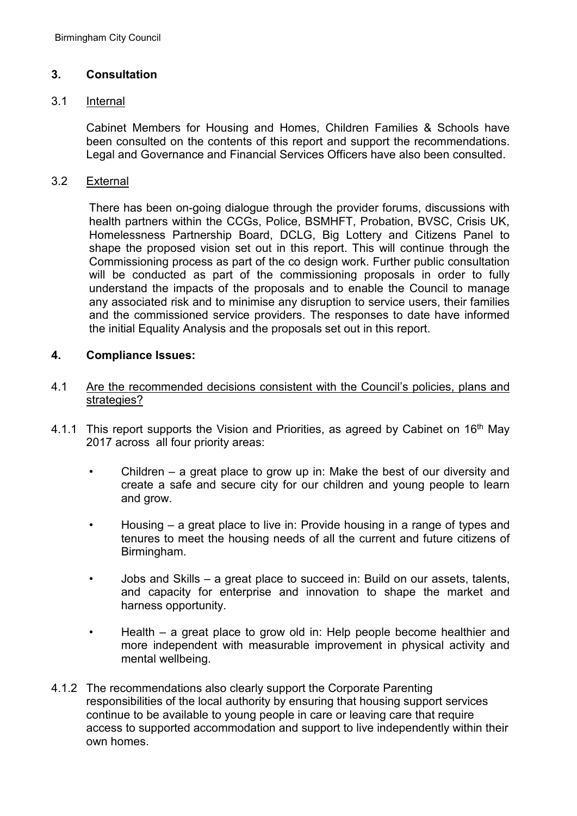#### **3. Consultation**

#### 3.1 Internal

 Cabinet Members for Housing and Homes, Children Families & Schools have been consulted on the contents of this report and support the recommendations. Legal and Governance and Financial Services Officers have also been consulted.

#### 3.2 External

There has been on-going dialogue through the provider forums, discussions with health partners within the CCGs, Police, BSMHFT, Probation, BVSC, Crisis UK, Homelessness Partnership Board, DCLG, Big Lottery and Citizens Panel to shape the proposed vision set out in this report. This will continue through the Commissioning process as part of the co design work. Further public consultation will be conducted as part of the commissioning proposals in order to fully understand the impacts of the proposals and to enable the Council to manage any associated risk and to minimise any disruption to service users, their families and the commissioned service providers. The responses to date have informed the initial Equality Analysis and the proposals set out in this report.

#### **4. Compliance Issues:**

- 4.1 Are the recommended decisions consistent with the Council's policies, plans and strategies?
- 4.1.1 This report supports the Vision and Priorities, as agreed by Cabinet on 16<sup>th</sup> May 2017 across all four priority areas:
	- Children a great place to grow up in: Make the best of our diversity and create a safe and secure city for our children and young people to learn and grow.
	- Housing a great place to live in: Provide housing in a range of types and tenures to meet the housing needs of all the current and future citizens of Birmingham.
	- Jobs and Skills a great place to succeed in: Build on our assets, talents, and capacity for enterprise and innovation to shape the market and harness opportunity.
	- Health a great place to grow old in: Help people become healthier and more independent with measurable improvement in physical activity and mental wellbeing.
- 4.1.2 The recommendations also clearly support the Corporate Parenting responsibilities of the local authority by ensuring that housing support services continue to be available to young people in care or leaving care that require access to supported accommodation and support to live independently within their own homes.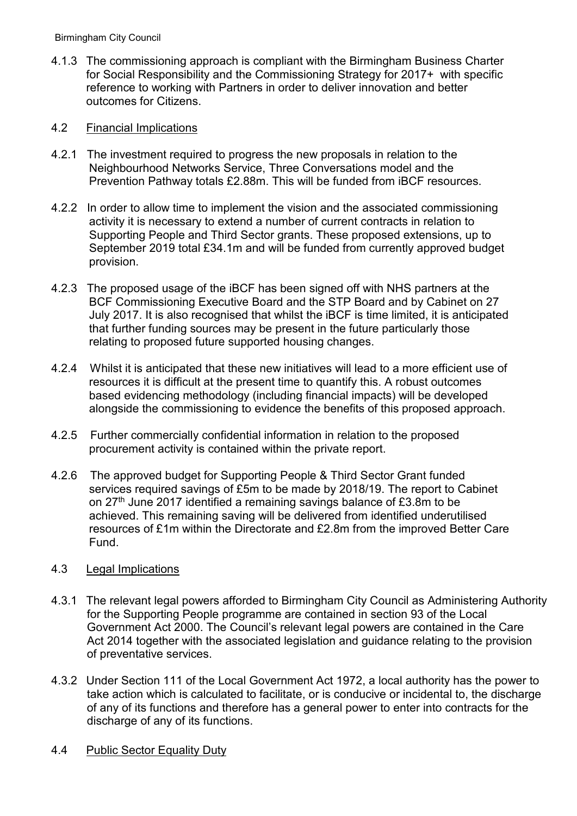4.1.3 The commissioning approach is compliant with the Birmingham Business Charter for Social Responsibility and the Commissioning Strategy for 2017+ with specific reference to working with Partners in order to deliver innovation and better outcomes for Citizens.

#### 4.2 Financial Implications

- 4.2.1 The investment required to progress the new proposals in relation to the Neighbourhood Networks Service, Three Conversations model and the Prevention Pathway totals £2.88m. This will be funded from iBCF resources.
- 4.2.2 In order to allow time to implement the vision and the associated commissioning activity it is necessary to extend a number of current contracts in relation to Supporting People and Third Sector grants. These proposed extensions, up to September 2019 total £34.1m and will be funded from currently approved budget provision.
- 4.2.3 The proposed usage of the iBCF has been signed off with NHS partners at the BCF Commissioning Executive Board and the STP Board and by Cabinet on 27 July 2017. It is also recognised that whilst the iBCF is time limited, it is anticipated that further funding sources may be present in the future particularly those relating to proposed future supported housing changes.
- 4.2.4 Whilst it is anticipated that these new initiatives will lead to a more efficient use of resources it is difficult at the present time to quantify this. A robust outcomes based evidencing methodology (including financial impacts) will be developed alongside the commissioning to evidence the benefits of this proposed approach.
- 4.2.5 Further commercially confidential information in relation to the proposed procurement activity is contained within the private report.
- 4.2.6 The approved budget for Supporting People & Third Sector Grant funded services required savings of £5m to be made by 2018/19. The report to Cabinet on 27th June 2017 identified a remaining savings balance of £3.8m to be achieved. This remaining saving will be delivered from identified underutilised resources of £1m within the Directorate and £2.8m from the improved Better Care Fund.

## 4.3 Legal Implications

- 4.3.1 The relevant legal powers afforded to Birmingham City Council as Administering Authority for the Supporting People programme are contained in section 93 of the Local Government Act 2000. The Council's relevant legal powers are contained in the Care Act 2014 together with the associated legislation and guidance relating to the provision of preventative services.
- 4.3.2 Under Section 111 of the Local Government Act 1972, a local authority has the power to take action which is calculated to facilitate, or is conducive or incidental to, the discharge of any of its functions and therefore has a general power to enter into contracts for the discharge of any of its functions.
- 4.4 Public Sector Equality Duty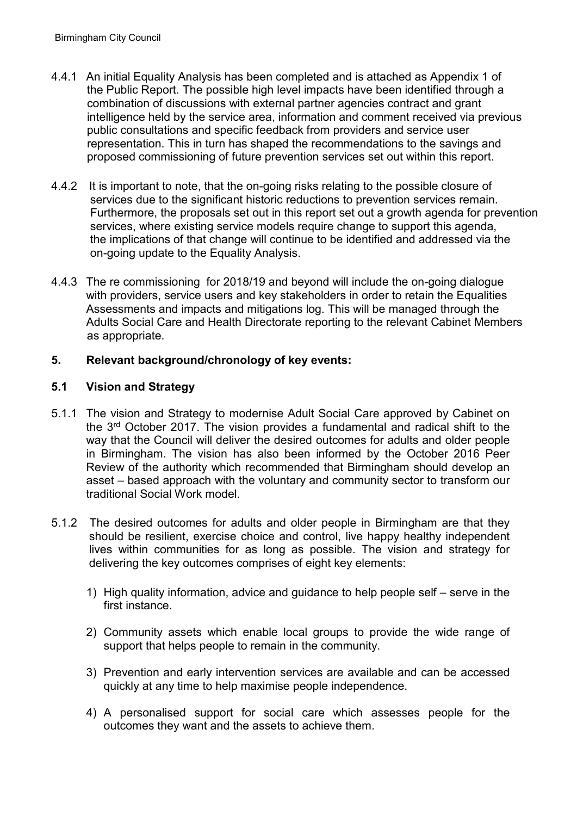- 4.4.1 An initial Equality Analysis has been completed and is attached as Appendix 1 of the Public Report. The possible high level impacts have been identified through a combination of discussions with external partner agencies contract and grant intelligence held by the service area, information and comment received via previous public consultations and specific feedback from providers and service user representation. This in turn has shaped the recommendations to the savings and proposed commissioning of future prevention services set out within this report.
- 4.4.2 It is important to note, that the on-going risks relating to the possible closure of services due to the significant historic reductions to prevention services remain. Furthermore, the proposals set out in this report set out a growth agenda for prevention services, where existing service models require change to support this agenda, the implications of that change will continue to be identified and addressed via the on-going update to the Equality Analysis.
- 4.4.3 The re commissioning for 2018/19 and beyond will include the on-going dialogue with providers, service users and key stakeholders in order to retain the Equalities Assessments and impacts and mitigations log. This will be managed through the Adults Social Care and Health Directorate reporting to the relevant Cabinet Members as appropriate.

# **5. Relevant background/chronology of key events:**

# **5.1 Vision and Strategy**

- 5.1.1 The vision and Strategy to modernise Adult Social Care approved by Cabinet on the 3rd October 2017. The vision provides a fundamental and radical shift to the way that the Council will deliver the desired outcomes for adults and older people in Birmingham. The vision has also been informed by the October 2016 Peer Review of the authority which recommended that Birmingham should develop an asset – based approach with the voluntary and community sector to transform our traditional Social Work model.
- 5.1.2 The desired outcomes for adults and older people in Birmingham are that they should be resilient, exercise choice and control, live happy healthy independent lives within communities for as long as possible. The vision and strategy for delivering the key outcomes comprises of eight key elements:
	- 1) High quality information, advice and guidance to help people self serve in the first instance.
	- 2) Community assets which enable local groups to provide the wide range of support that helps people to remain in the community.
	- 3) Prevention and early intervention services are available and can be accessed quickly at any time to help maximise people independence.
	- 4) A personalised support for social care which assesses people for the outcomes they want and the assets to achieve them.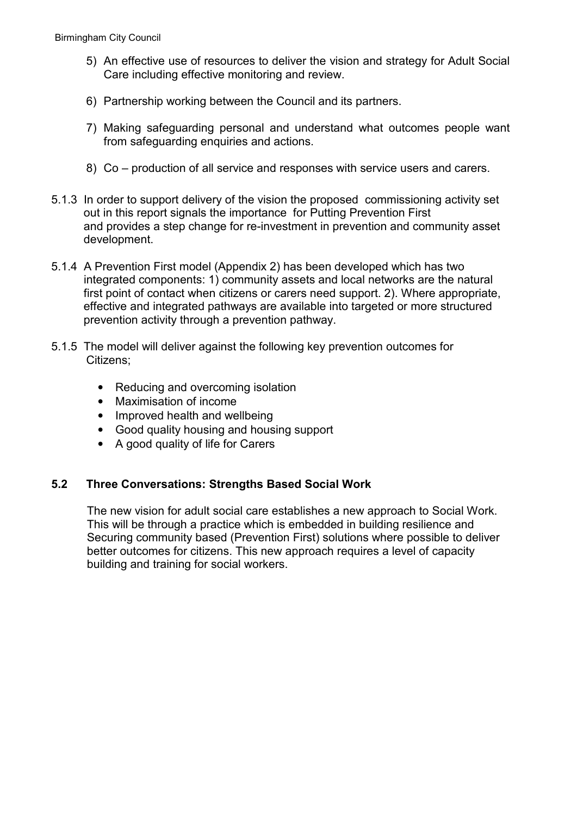- 5) An effective use of resources to deliver the vision and strategy for Adult Social Care including effective monitoring and review.
- 6) Partnership working between the Council and its partners.
- 7) Making safeguarding personal and understand what outcomes people want from safeguarding enquiries and actions.
- 8) Co production of all service and responses with service users and carers.
- 5.1.3 In order to support delivery of the vision the proposed commissioning activity set out in this report signals the importance for Putting Prevention First and provides a step change for re-investment in prevention and community asset development.
- 5.1.4 A Prevention First model (Appendix 2) has been developed which has two integrated components: 1) community assets and local networks are the natural first point of contact when citizens or carers need support. 2). Where appropriate, effective and integrated pathways are available into targeted or more structured prevention activity through a prevention pathway.
- 5.1.5 The model will deliver against the following key prevention outcomes for Citizens;
	- Reducing and overcoming isolation
	- Maximisation of income
	- Improved health and wellbeing
	- Good quality housing and housing support
	- A good quality of life for Carers

## **5.2 Three Conversations: Strengths Based Social Work**

 The new vision for adult social care establishes a new approach to Social Work. This will be through a practice which is embedded in building resilience and Securing community based (Prevention First) solutions where possible to deliver better outcomes for citizens. This new approach requires a level of capacity building and training for social workers.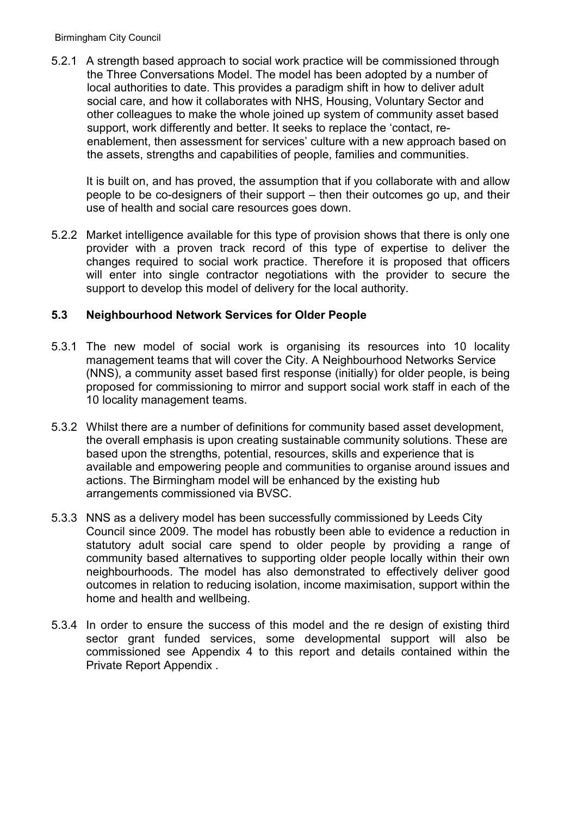5.2.1 A strength based approach to social work practice will be commissioned through the Three Conversations Model. The model has been adopted by a number of local authorities to date. This provides a paradigm shift in how to deliver adult social care, and how it collaborates with NHS, Housing, Voluntary Sector and other colleagues to make the whole joined up system of community asset based support, work differently and better. It seeks to replace the 'contact, re enablement, then assessment for services' culture with a new approach based on the assets, strengths and capabilities of people, families and communities.

 It is built on, and has proved, the assumption that if you collaborate with and allow people to be co-designers of their support – then their outcomes go up, and their use of health and social care resources goes down.

5.2.2 Market intelligence available for this type of provision shows that there is only one provider with a proven track record of this type of expertise to deliver the changes required to social work practice. Therefore it is proposed that officers will enter into single contractor negotiations with the provider to secure the support to develop this model of delivery for the local authority.

## **5.3 Neighbourhood Network Services for Older People**

- 5.3.1 The new model of social work is organising its resources into 10 locality management teams that will cover the City. A Neighbourhood Networks Service (NNS), a community asset based first response (initially) for older people, is being proposed for commissioning to mirror and support social work staff in each of the 10 locality management teams.
- 5.3.2 Whilst there are a number of definitions for community based asset development, the overall emphasis is upon creating sustainable community solutions. These are based upon the strengths, potential, resources, skills and experience that is available and empowering people and communities to organise around issues and actions. The Birmingham model will be enhanced by the existing hub arrangements commissioned via BVSC.
- 5.3.3 NNS as a delivery model has been successfully commissioned by Leeds City Council since 2009. The model has robustly been able to evidence a reduction in statutory adult social care spend to older people by providing a range of community based alternatives to supporting older people locally within their own neighbourhoods. The model has also demonstrated to effectively deliver good outcomes in relation to reducing isolation, income maximisation, support within the home and health and wellbeing.
- 5.3.4 In order to ensure the success of this model and the re design of existing third sector grant funded services, some developmental support will also be commissioned see Appendix 4 to this report and details contained within the Private Report Appendix .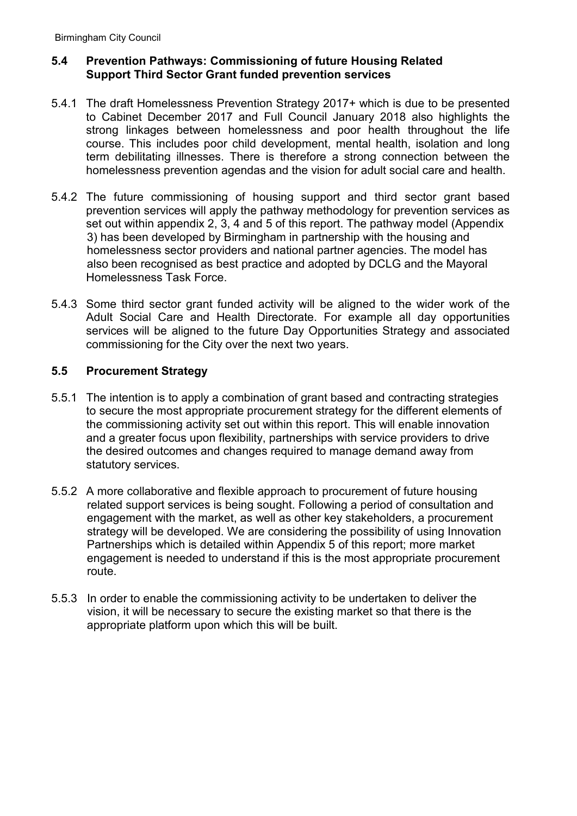## **5.4 Prevention Pathways: Commissioning of future Housing Related Support Third Sector Grant funded prevention services**

- 5.4.1 The draft Homelessness Prevention Strategy 2017+ which is due to be presented to Cabinet December 2017 and Full Council January 2018 also highlights the strong linkages between homelessness and poor health throughout the life course. This includes poor child development, mental health, isolation and long term debilitating illnesses. There is therefore a strong connection between the homelessness prevention agendas and the vision for adult social care and health.
- 5.4.2 The future commissioning of housing support and third sector grant based prevention services will apply the pathway methodology for prevention services as set out within appendix 2, 3, 4 and 5 of this report. The pathway model (Appendix 3) has been developed by Birmingham in partnership with the housing and homelessness sector providers and national partner agencies. The model has also been recognised as best practice and adopted by DCLG and the Mayoral Homelessness Task Force.
- 5.4.3 Some third sector grant funded activity will be aligned to the wider work of the Adult Social Care and Health Directorate. For example all day opportunities services will be aligned to the future Day Opportunities Strategy and associated commissioning for the City over the next two years.

#### **5.5 Procurement Strategy**

- 5.5.1 The intention is to apply a combination of grant based and contracting strategies to secure the most appropriate procurement strategy for the different elements of the commissioning activity set out within this report. This will enable innovation and a greater focus upon flexibility, partnerships with service providers to drive the desired outcomes and changes required to manage demand away from statutory services.
- 5.5.2 A more collaborative and flexible approach to procurement of future housing related support services is being sought. Following a period of consultation and engagement with the market, as well as other key stakeholders, a procurement strategy will be developed. We are considering the possibility of using Innovation Partnerships which is detailed within Appendix 5 of this report; more market engagement is needed to understand if this is the most appropriate procurement route.
- 5.5.3 In order to enable the commissioning activity to be undertaken to deliver the vision, it will be necessary to secure the existing market so that there is the appropriate platform upon which this will be built.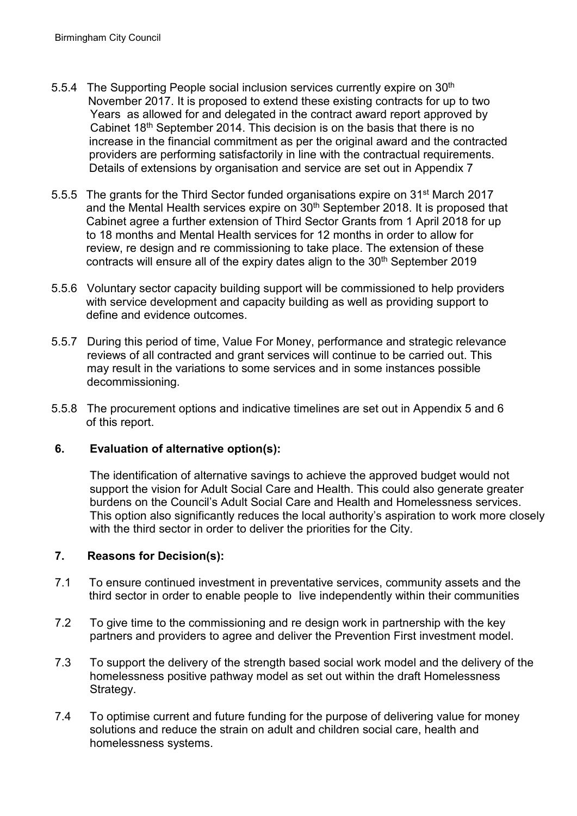- 5.5.4 The Supporting People social inclusion services currently expire on 30<sup>th</sup> November 2017. It is proposed to extend these existing contracts for up to two Years as allowed for and delegated in the contract award report approved by Cabinet 18<sup>th</sup> September 2014. This decision is on the basis that there is no increase in the financial commitment as per the original award and the contracted providers are performing satisfactorily in line with the contractual requirements. Details of extensions by organisation and service are set out in Appendix 7
- 5.5.5 The grants for the Third Sector funded organisations expire on 31<sup>st</sup> March 2017 and the Mental Health services expire on 30<sup>th</sup> September 2018. It is proposed that Cabinet agree a further extension of Third Sector Grants from 1 April 2018 for up to 18 months and Mental Health services for 12 months in order to allow for review, re design and re commissioning to take place. The extension of these contracts will ensure all of the expiry dates align to the 30<sup>th</sup> September 2019
- 5.5.6 Voluntary sector capacity building support will be commissioned to help providers with service development and capacity building as well as providing support to define and evidence outcomes.
- 5.5.7 During this period of time, Value For Money, performance and strategic relevance reviews of all contracted and grant services will continue to be carried out. This may result in the variations to some services and in some instances possible decommissioning.
- 5.5.8 The procurement options and indicative timelines are set out in Appendix 5 and 6 of this report.

## **6. Evaluation of alternative option(s):**

The identification of alternative savings to achieve the approved budget would not support the vision for Adult Social Care and Health. This could also generate greater burdens on the Council's Adult Social Care and Health and Homelessness services. This option also significantly reduces the local authority's aspiration to work more closely with the third sector in order to deliver the priorities for the City.

## **7. Reasons for Decision(s):**

- 7.1 To ensure continued investment in preventative services, community assets and the third sector in order to enable people to live independently within their communities
- 7.2 To give time to the commissioning and re design work in partnership with the key partners and providers to agree and deliver the Prevention First investment model.
- 7.3 To support the delivery of the strength based social work model and the delivery of the homelessness positive pathway model as set out within the draft Homelessness Strategy.
- 7.4 To optimise current and future funding for the purpose of delivering value for money solutions and reduce the strain on adult and children social care, health and homelessness systems.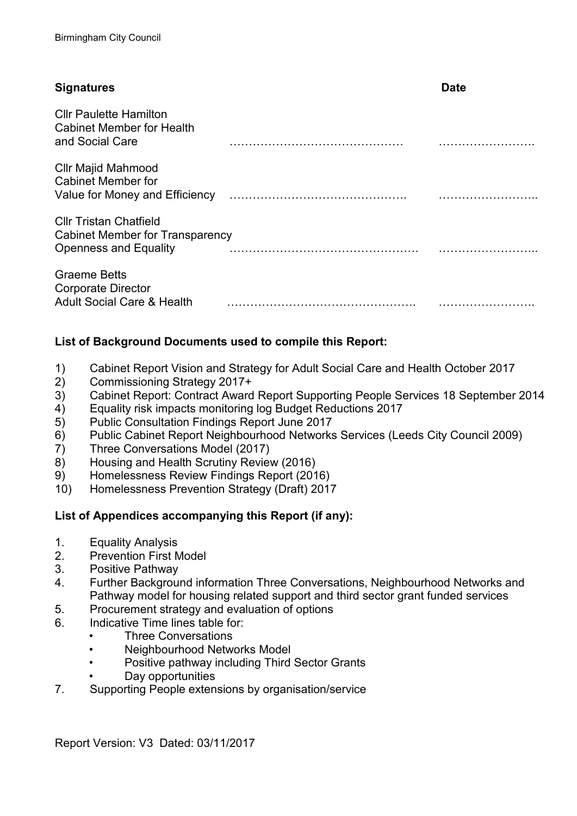# **Signatures** Date Cllr Paulette Hamilton Cabinet Member for Health and Social Care **Nanning and Social Care** New York New York New York New York New York New York New York New York N Cllr Majid Mahmood Cabinet Member for Value for Money and Efficiency NNNNNNNNNNNNNNN. NNNNNNNN.. Cllr Tristan Chatfield Cabinet Member for Transparency Openness and Equality New York New York New York New York New York New York New York New York New York New York N Graeme Betts Corporate Director Adult Social Care & Health NNNNNNNNNNNNNNNN. NNNNNNNN.

# **List of Background Documents used to compile this Report:**

- 1) Cabinet Report Vision and Strategy for Adult Social Care and Health October 2017
- 2) Commissioning Strategy 2017+
- 3) Cabinet Report: Contract Award Report Supporting People Services 18 September 2014
- 4) Equality risk impacts monitoring log Budget Reductions 2017
- 5) Public Consultation Findings Report June 2017
- 6) Public Cabinet Report Neighbourhood Networks Services (Leeds City Council 2009)
- 7) Three Conversations Model (2017)
- 8) Housing and Health Scrutiny Review (2016)
- 9) Homelessness Review Findings Report (2016)
- 10) Homelessness Prevention Strategy (Draft) 2017

## **List of Appendices accompanying this Report (if any):**

- 1. Equality Analysis
- 2. Prevention First Model
- 3. Positive Pathway
- 4. Further Background information Three Conversations, Neighbourhood Networks and Pathway model for housing related support and third sector grant funded services
- 5. Procurement strategy and evaluation of options
- 6. Indicative Time lines table for:
	- Three Conversations
	- Neighbourhood Networks Model
	- Positive pathway including Third Sector Grants
	- Day opportunities
- 7. Supporting People extensions by organisation/service

Report Version: V3 Dated: 03/11/2017